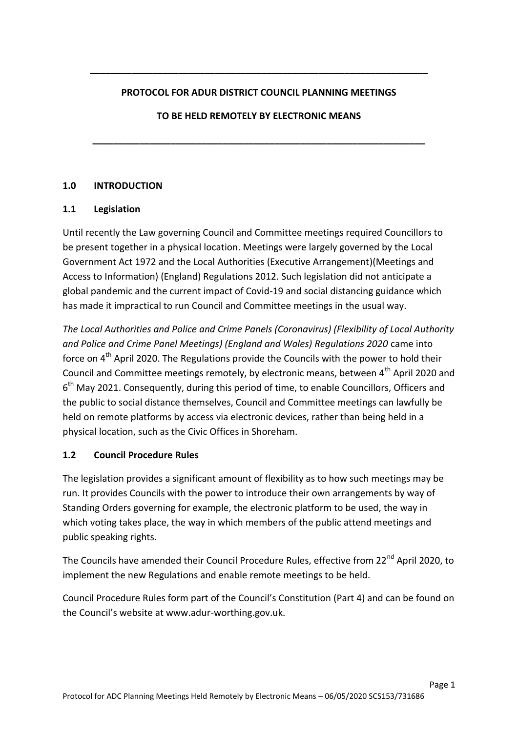#### **PROTOCOL FOR ADUR DISTRICT COUNCIL PLANNING MEETINGS**

**\_\_\_\_\_\_\_\_\_\_\_\_\_\_\_\_\_\_\_\_\_\_\_\_\_\_\_\_\_\_\_\_\_\_\_\_\_\_\_\_\_\_\_\_\_\_\_\_\_\_\_\_\_\_\_\_\_\_\_\_\_\_\_\_\_** 

 **TO BE HELD REMOTELY BY ELECTRONIC MEANS** 

**\_\_\_\_\_\_\_\_\_\_\_\_\_\_\_\_\_\_\_\_\_\_\_\_\_\_\_\_\_\_\_\_\_\_\_\_\_\_\_\_\_\_\_\_\_\_\_\_\_\_\_\_\_\_\_\_\_\_\_\_\_\_\_\_** 

# **1.0 INTRODUCTION**

### **1.1 Legislation**

 Until recently the Law governing Council and Committee meetings required Councillors to be present together in a physical location. Meetings were largely governed by the Local Government Act 1972 and the Local Authorities (Executive Arrangement)(Meetings and Access to Information) (England) Regulations 2012. Such legislation did not anticipate a global pandemic and the current impact of Covid-19 and social distancing guidance which has made it impractical to run Council and Committee meetings in the usual way.

 *The Local Authorities and Police and Crime Panels (Coronavirus) (Flexibility of Local Authority and Police and Crime Panel Meetings) (England and Wales) Regulations 2020* came into force on  $4^{\text{th}}$  April 2020. The Regulations provide the Councils with the power to hold their Council and Committee meetings remotely, by electronic means, between 4<sup>th</sup> April 2020 and  $6<sup>th</sup>$  May 2021. Consequently, during this period of time, to enable Councillors, Officers and the public to social distance themselves, Council and Committee meetings can lawfully be held on remote platforms by access via electronic devices, rather than being held in a physical location, such as the Civic Offices in Shoreham.

#### $1.2$ **1.2 Council Procedure Rules**

 The legislation provides a significant amount of flexibility as to how such meetings may be run. It provides Councils with the power to introduce their own arrangements by way of Standing Orders governing for example, the electronic platform to be used, the way in which voting takes place, the way in which members of the public attend meetings and public speaking rights.

The Councils have amended their Council Procedure Rules, effective from 22<sup>nd</sup> April 2020, to implement the new Regulations and enable remote meetings to be held.

 Council Procedure Rules form part of the Council's Constitution (Part 4) and can be found on the Council's website at www.adur[-worthing.gov.uk](www.adur-worthing.gov.uk).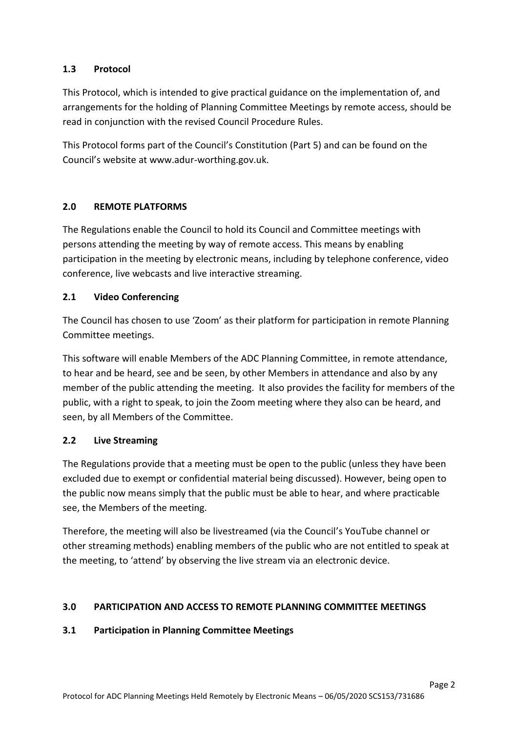# **1.3 Protocol**

 This Protocol, which is intended to give practical guidance on the implementation of, and arrangements for the holding of Planning Committee Meetings by remote access, should be read in conjunction with the revised Council Procedure Rules.

 This Protocol forms part of the Council's Constitution (Part 5) and can be found on the Council's website at www.adur[-worthing.gov.uk](www.adur-worthing.gov.uk).

# **2.0 REMOTE PLATFORMS**

 The Regulations enable the Council to hold its Council and Committee meetings with persons attending the meeting by way of remote access. This means by enabling participation in the meeting by electronic means, including by telephone conference, video conference, live webcasts and live interactive streaming.

### **2.1 Video Conferencing**

 The Council has chosen to use 'Zoom' as their platform for participation in remote Planning Committee meetings.

Committee meetings.<br>This software will enable Members of the ADC Planning Committee, in remote attendance, to hear and be heard, see and be seen, by other Members in attendance and also by any member of the public attending the meeting. It also provides the facility for members of the public, with a right to speak, to join the Zoom meeting where they also can be heard, and seen, by all Members of the Committee.

#### $2.2$ **2.2 Live Streaming**

 The Regulations provide that a meeting must be open to the public (unless they have been excluded due to exempt or confidential material being discussed). However, being open to the public now means simply that the public must be able to hear, and where practicable see, the Members of the meeting.

 other streaming methods) enabling members of the public who are not entitled to speak at the meeting, to 'attend' by observing the live stream via an electronic device. Therefore, the meeting will also be livestreamed (via the Council's YouTube channel or

# **3.0 PARTICIPATION AND ACCESS TO REMOTE PLANNING COMMITTEE MEETINGS**

### **3.1 Participation in Planning Committee Meetings**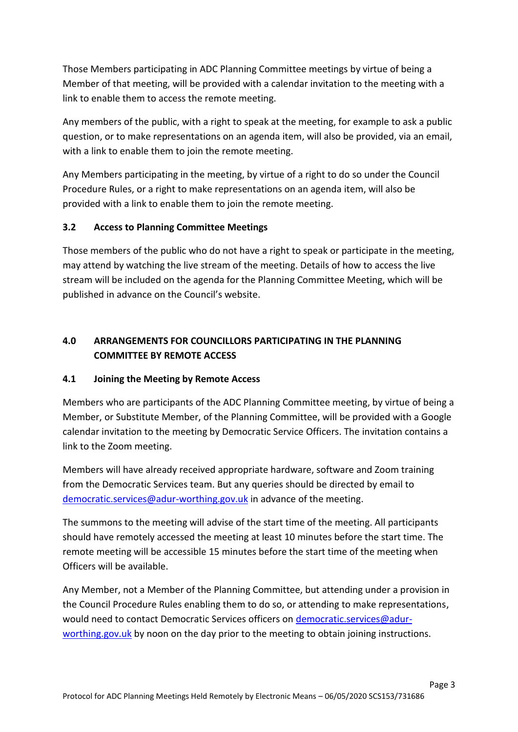Those Members participating in ADC Planning Committee meetings by virtue of being a Member of that meeting, will be provided with a calendar invitation to the meeting with a link to enable them to access the remote meeting.

 Any members of the public, with a right to speak at the meeting, for example to ask a public question, or to make representations on an agenda item, will also be provided, via an email, with a link to enable them to join the remote meeting.

 Any Members participating in the meeting, by virtue of a right to do so under the Council Procedure Rules, or a right to make representations on an agenda item, will also be provided with a link to enable them to join the remote meeting.

# **3.2 Access to Planning Committee Meetings**

 Those members of the public who do not have a right to speak or participate in the meeting, may attend by watching the live stream of the meeting. Details of how to access the live stream will be included on the agenda for the Planning Committee Meeting, which will be published in advance on the Council's website.

# **4.0 ARRANGEMENTS FOR COUNCILLORS PARTICIPATING IN THE PLANNING COMMITTEE BY REMOTE ACCESS**

#### **4.1 Joining the Meeting by Remote Access**

 Members who are participants of the ADC Planning Committee meeting, by virtue of being a Member, or Substitute Member, of the Planning Committee, will be provided with a Google calendar invitation to the meeting by Democratic Service Officers. The invitation contains a link to the Zoom meeting.

 Members will have already received appropriate hardware, software and Zoom training from the Democratic Services team. But any queries should be directed by email to [democratic.services@adur-worthing.gov.uk](mailto:democratic.services@adur-worthing.gov.uk) in advance of the meeting.

 The summons to the meeting will advise of the start time of the meeting. All participants should have remotely accessed the meeting at least 10 minutes before the start time. The remote meeting will be accessible 15 minutes before the start time of the meeting when Officers will be available.

 Any Member, not a Member of the Planning Committee, but attending under a provision in the Council Procedure Rules enabling them to do so, or attending to make representations, would need to contact Democratic Services officers on <u>democratic.services@adur-</u> [worthing.gov.uk](mailto:democratic.services@adur-worthing.gov.uk) by noon on the day prior to the meeting to obtain joining instructions.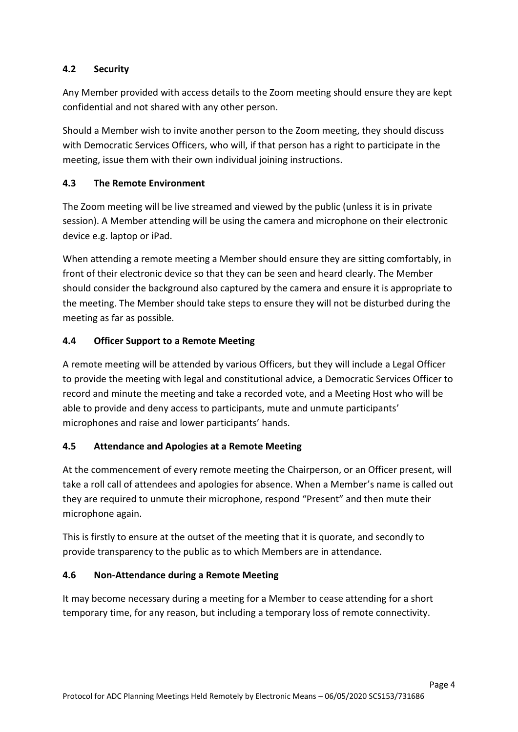#### **4.2 Security**

 Any Member provided with access details to the Zoom meeting should ensure they are kept confidential and not shared with any other person.

 Should a Member wish to invite another person to the Zoom meeting, they should discuss with Democratic Services Officers, who will, if that person has a right to participate in the meeting, issue them with their own individual joining instructions.

#### **4.3 The Remote Environment**

 The Zoom meeting will be live streamed and viewed by the public (unless it is in private session). A Member attending will be using the camera and microphone on their electronic device e.g. laptop or iPad.

 When attending a remote meeting a Member should ensure they are sitting comfortably, in front of their electronic device so that they can be seen and heard clearly. The Member should consider the background also captured by the camera and ensure it is appropriate to the meeting. The Member should take steps to ensure they will not be disturbed during the meeting as far as possible.

#### **4.4 Officer Support to a Remote Meeting**

 A remote meeting will be attended by various Officers, but they will include a Legal Officer to provide the meeting with legal and constitutional advice, a Democratic Services Officer to record and minute the meeting and take a recorded vote, and a Meeting Host who will be able to provide and deny access to participants, mute and unmute participants' microphones and raise and lower participants' hands.

# **4.5 Attendance and Apologies at a Remote Meeting**

 At the commencement of every remote meeting the Chairperson, or an Officer present, will take a roll call of attendees and apologies for absence. When a Member's name is called out they are required to unmute their microphone, respond "Present" and then mute their microphone again.

 This is firstly to ensure at the outset of the meeting that it is quorate, and secondly to provide transparency to the public as to which Members are in attendance.

### **4.6 Non-Attendance during a Remote Meeting**

 It may become necessary during a meeting for a Member to cease attending for a short temporary time, for any reason, but including a temporary loss of remote connectivity.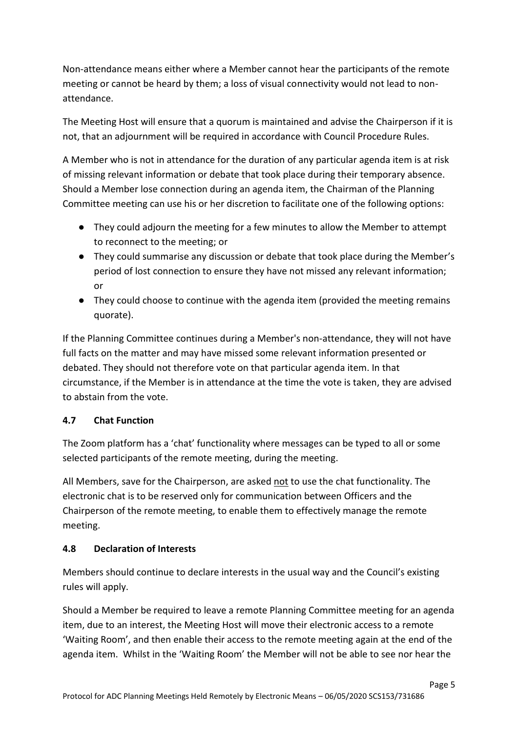Non-attendance means either where a Member cannot hear the participants of the remote meeting or cannot be heard by them; a loss of visual connectivity would not lead to nonattendance.

 The Meeting Host will ensure that a quorum is maintained and advise the Chairperson if it is not, that an adjournment will be required in accordance with Council Procedure Rules.

 A Member who is not in attendance for the duration of any particular agenda item is at risk of missing relevant information or debate that took place during their temporary absence. Should a Member lose connection during an agenda item, the Chairman of the Planning Committee meeting can use his or her discretion to facilitate one of the following options:

- ● They could adjourn the meeting for a few minutes to allow the Member to attempt to reconnect to the meeting; or
- ● They could summarise any discussion or debate that took place during the Member's period of lost connection to ensure they have not missed any relevant information; or
- ● They could choose to continue with the agenda item (provided the meeting remains quorate).

 full facts on the matter and may have missed some relevant information presented or debated. They should not therefore vote on that particular agenda item. In that circumstance, if the Member is in attendance at the time the vote is taken, they are advised to abstain from the vote. If the Planning Committee continues during a Member's non-attendance, they will not have

### **4.7 Chat Function**

 The Zoom platform has a 'chat' functionality where messages can be typed to all or some selected participants of the remote meeting, during the meeting.

All Members, save for the Chairperson, are asked not to use the chat functionality. The electronic chat is to be reserved only for communication between Officers and the Chairperson of the remote meeting, to enable them to effectively manage the remote meeting.

### **4.8 Declaration of Interests**

 Members should continue to declare interests in the usual way and the Council's existing rules will apply.

 Should a Member be required to leave a remote Planning Committee meeting for an agenda item, due to an interest, the Meeting Host will move their electronic access to a remote 'Waiting Room', and then enable their access to the remote meeting again at the end of the agenda item. Whilst in the 'Waiting Room' the Member will not be able to see nor hear the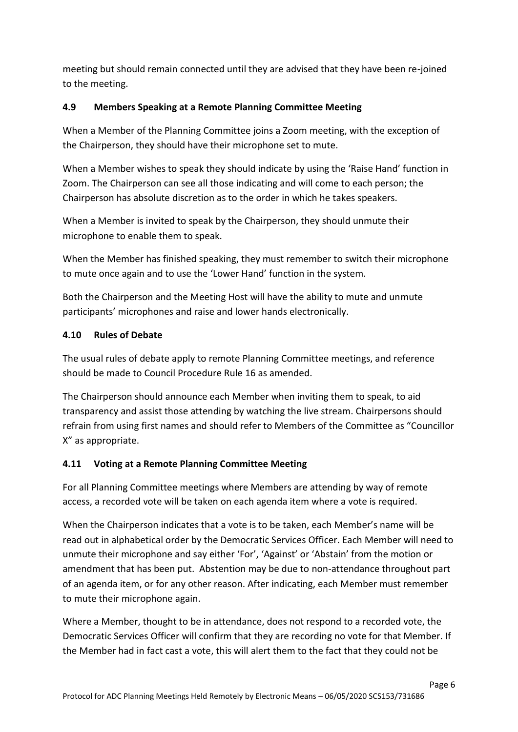meeting but should remain connected until they are advised that they have been re-joined to the meeting.

#### **4.9 Members Speaking at a Remote Planning Committee Meeting**

 When a Member of the Planning Committee joins a Zoom meeting, with the exception of the Chairperson, they should have their microphone set to mute.

 When a Member wishes to speak they should indicate by using the 'Raise Hand' function in Zoom. The Chairperson can see all those indicating and will come to each person; the Chairperson has absolute discretion as to the order in which he takes speakers.

 When a Member is invited to speak by the Chairperson, they should unmute their microphone to enable them to speak.

 When the Member has finished speaking, they must remember to switch their microphone to mute once again and to use the 'Lower Hand' function in the system.

 Both the Chairperson and the Meeting Host will have the ability to mute and unmute participants' microphones and raise and lower hands electronically.

### **4.10 Rules of Debate**

 The usual rules of debate apply to remote Planning Committee meetings, and reference should be made to Council Procedure Rule 16 as amended.

 The Chairperson should announce each Member when inviting them to speak, to aid transparency and assist those attending by watching the live stream. Chairpersons should refrain from using first names and should refer to Members of the Committee as "Councillor X" as appropriate.

#### **4.11 Voting at a Remote Planning Committee Meeting**

 For all Planning Committee meetings where Members are attending by way of remote access, a recorded vote will be taken on each agenda item where a vote is required.

 When the Chairperson indicates that a vote is to be taken, each Member's name will be read out in alphabetical order by the Democratic Services Officer. Each Member will need to unmute their microphone and say either 'For', 'Against' or 'Abstain' from the motion or amendment that has been put. Abstention may be due to non-attendance throughout part of an agenda item, or for any other reason. After indicating, each Member must remember to mute their microphone again.

 Where a Member, thought to be in attendance, does not respond to a recorded vote, the Democratic Services Officer will confirm that they are recording no vote for that Member. If the Member had in fact cast a vote, this will alert them to the fact that they could not be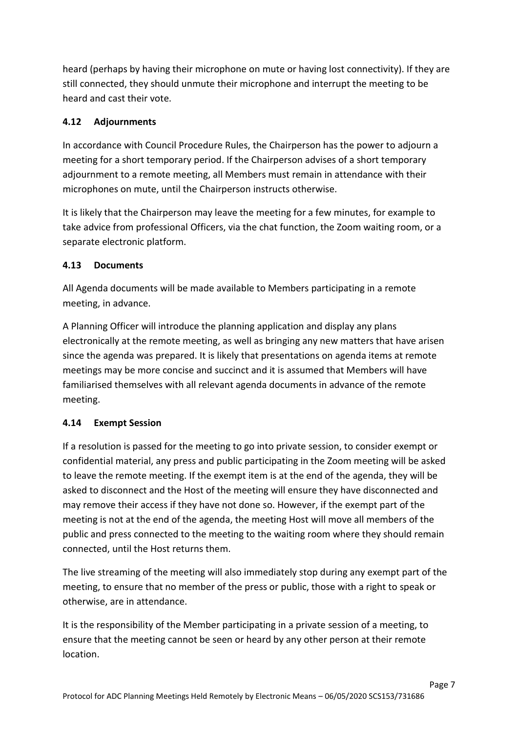heard (perhaps by having their microphone on mute or having lost connectivity). If they are still connected, they should unmute their microphone and interrupt the meeting to be heard and cast their vote.

# **4.12 Adjournments**

 In accordance with Council Procedure Rules, the Chairperson has the power to adjourn a meeting for a short temporary period. If the Chairperson advises of a short temporary adjournment to a remote meeting, all Members must remain in attendance with their microphones on mute, until the Chairperson instructs otherwise.

 It is likely that the Chairperson may leave the meeting for a few minutes, for example to take advice from professional Officers, via the chat function, the Zoom waiting room, or a separate electronic platform.

# **4.13 Documents**

 meeting, in advance. All Agenda documents will be made available to Members participating in a remote

 A Planning Officer will introduce the planning application and display any plans electronically at the remote meeting, as well as bringing any new matters that have arisen since the agenda was prepared. It is likely that presentations on agenda items at remote meetings may be more concise and succinct and it is assumed that Members will have familiarised themselves with all relevant agenda documents in advance of the remote meeting.

### **4.14 Exempt Session**

 If a resolution is passed for the meeting to go into private session, to consider exempt or confidential material, any press and public participating in the Zoom meeting will be asked to leave the remote meeting. If the exempt item is at the end of the agenda, they will be asked to disconnect and the Host of the meeting will ensure they have disconnected and may remove their access if they have not done so. However, if the exempt part of the meeting is not at the end of the agenda, the meeting Host will move all members of the public and press connected to the meeting to the waiting room where they should remain connected, until the Host returns them.

 The live streaming of the meeting will also immediately stop during any exempt part of the meeting, to ensure that no member of the press or public, those with a right to speak or otherwise, are in attendance.

 It is the responsibility of the Member participating in a private session of a meeting, to ensure that the meeting cannot be seen or heard by any other person at their remote location. location.<br>Page 7<br>Page 7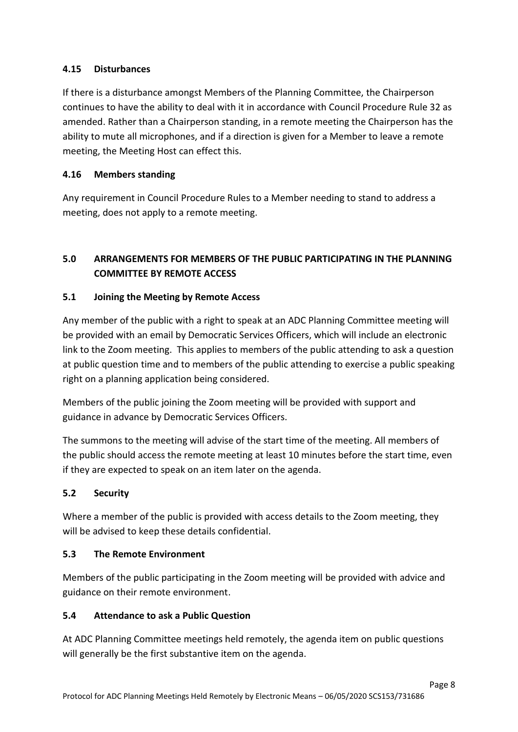### **4.15 Disturbances**

 If there is a disturbance amongst Members of the Planning Committee, the Chairperson continues to have the ability to deal with it in accordance with Council Procedure Rule 32 as amended. Rather than a Chairperson standing, in a remote meeting the Chairperson has the ability to mute all microphones, and if a direction is given for a Member to leave a remote meeting, the Meeting Host can effect this.

# **4.16 Members standing**

 Any requirement in Council Procedure Rules to a Member needing to stand to address a meeting, does not apply to a remote meeting.

# **5.0 ARRANGEMENTS FOR MEMBERS OF THE PUBLIC PARTICIPATING IN THE PLANNING COMMITTEE BY REMOTE ACCESS**

#### 5.1 **5.1 Joining the Meeting by Remote Access**

 Any member of the public with a right to speak at an ADC Planning Committee meeting will be provided with an email by Democratic Services Officers, which will include an electronic link to the Zoom meeting. This applies to members of the public attending to ask a question at public question time and to members of the public attending to exercise a public speaking right on a planning application being considered.

 Members of the public joining the Zoom meeting will be provided with support and guidance in advance by Democratic Services Officers.

 The summons to the meeting will advise of the start time of the meeting. All members of the public should access the remote meeting at least 10 minutes before the start time, even if they are expected to speak on an item later on the agenda.

#### $5.2$ **5.2 Security**

 Where a member of the public is provided with access details to the Zoom meeting, they will be advised to keep these details confidential.

#### **5.3 The Remote Environment**

 Members of the public participating in the Zoom meeting will be provided with advice and guidance on their remote environment.

### **5.4 Attendance to ask a Public Question**

 At ADC Planning Committee meetings held remotely, the agenda item on public questions will generally be the first substantive item on the agenda.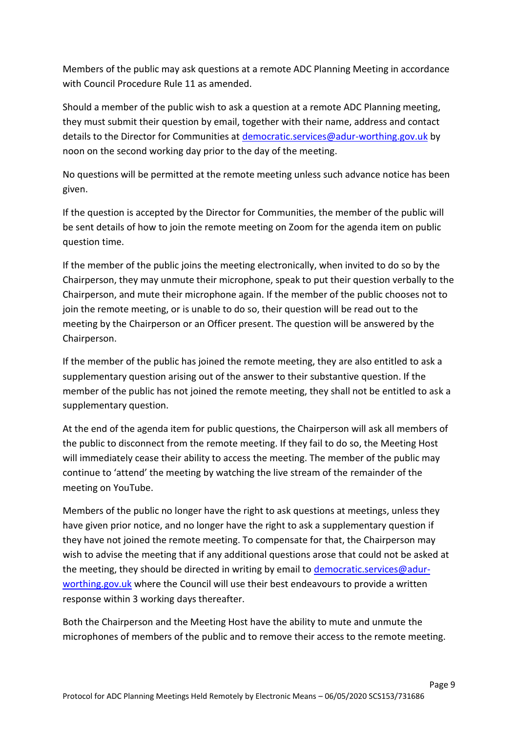Members of the public may ask questions at a remote ADC Planning Meeting in accordance with Council Procedure Rule 11 as amended.

 Should a member of the public wish to ask a question at a remote ADC Planning meeting, they must submit their question by email, together with their name, address and contact details to the Director for Communities at **democratic.services@adur-worthing.gov.uk** by noon on the second working day prior to the day of the meeting.

 No questions will be permitted at the remote meeting unless such advance notice has been given.

 If the question is accepted by the Director for Communities, the member of the public will be sent details of how to join the remote meeting on Zoom for the agenda item on public question time.

 If the member of the public joins the meeting electronically, when invited to do so by the Chairperson, they may unmute their microphone, speak to put their question verbally to the Chairperson, and mute their microphone again. If the member of the public chooses not to join the remote meeting, or is unable to do so, their question will be read out to the meeting by the Chairperson or an Officer present. The question will be answered by the Chairperson.

 If the member of the public has joined the remote meeting, they are also entitled to ask a supplementary question arising out of the answer to their substantive question. If the member of the public has not joined the remote meeting, they shall not be entitled to ask a supplementary question.

 At the end of the agenda item for public questions, the Chairperson will ask all members of the public to disconnect from the remote meeting. If they fail to do so, the Meeting Host will immediately cease their ability to access the meeting. The member of the public may continue to 'attend' the meeting by watching the live stream of the remainder of the meeting on YouTube.

 Members of the public no longer have the right to ask questions at meetings, unless they have given prior notice, and no longer have the right to ask a supplementary question if they have not joined the remote meeting. To compensate for that, the Chairperson may wish to advise the meeting that if any additional questions arose that could not be asked at the meeting, they should be directed in writing by email to **democratic.services@adur**[worthing.gov.uk](mailto:democratic.services@adur-worthing.gov.uk) where the Council will use their best endeavours to provide a written response within 3 working days thereafter.

 Both the Chairperson and the Meeting Host have the ability to mute and unmute the microphones of members of the public and to remove their access to the remote meeting.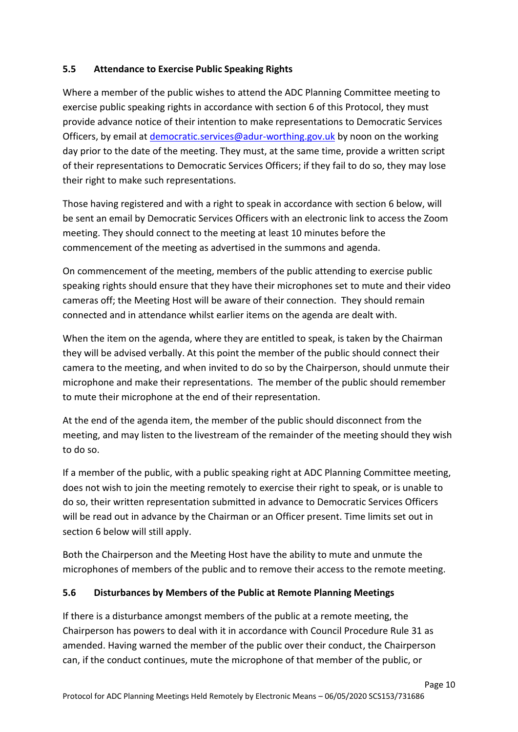# **5.5 Attendance to Exercise Public Speaking Rights**

 Where a member of the public wishes to attend the ADC Planning Committee meeting to exercise public speaking rights in accordance with section 6 of this Protocol, they must provide advance notice of their intention to make representations to Democratic Services Officers, by email at *democratic.services@adur-worthing.gov.uk* by noon on the working day prior to the date of the meeting. They must, at the same time, provide a written script of their representations to Democratic Services Officers; if they fail to do so, they may lose their right to make such representations.

 Those having registered and with a right to speak in accordance with section 6 below, will be sent an email by Democratic Services Officers with an electronic link to access the Zoom meeting. They should connect to the meeting at least 10 minutes before the commencement of the meeting as advertised in the summons and agenda.

 On commencement of the meeting, members of the public attending to exercise public speaking rights should ensure that they have their microphones set to mute and their video cameras off; the Meeting Host will be aware of their connection. They should remain connected and in attendance whilst earlier items on the agenda are dealt with.

 When the item on the agenda, where they are entitled to speak, is taken by the Chairman they will be advised verbally. At this point the member of the public should connect their camera to the meeting, and when invited to do so by the Chairperson, should unmute their microphone and make their representations. The member of the public should remember to mute their microphone at the end of their representation.

 At the end of the agenda item, the member of the public should disconnect from the meeting, and may listen to the livestream of the remainder of the meeting should they wish to do so.

 If a member of the public, with a public speaking right at ADC Planning Committee meeting, does not wish to join the meeting remotely to exercise their right to speak, or is unable to do so, their written representation submitted in advance to Democratic Services Officers will be read out in advance by the Chairman or an Officer present. Time limits set out in section 6 below will still apply.

 Both the Chairperson and the Meeting Host have the ability to mute and unmute the microphones of members of the public and to remove their access to the remote meeting.

### **5.6 Disturbances by Members of the Public at Remote Planning Meetings**

 If there is a disturbance amongst members of the public at a remote meeting, the Chairperson has powers to deal with it in accordance with Council Procedure Rule 31 as amended. Having warned the member of the public over their conduct, the Chairperson can, if the conduct continues, mute the microphone of that member of the public, or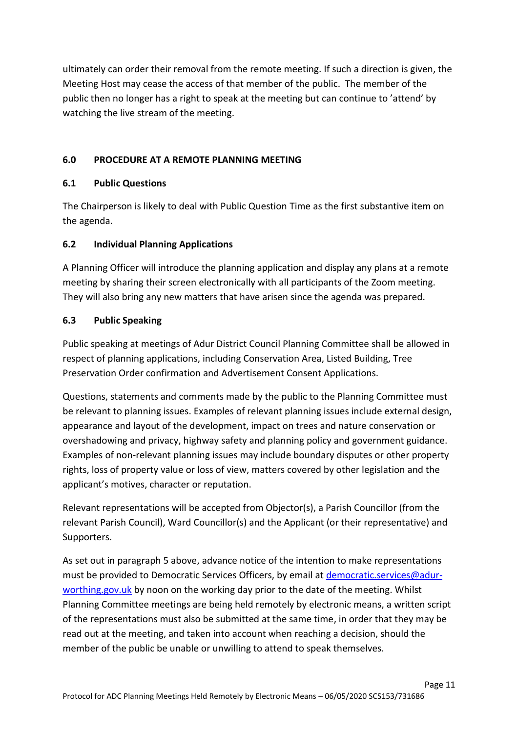ultimately can order their removal from the remote meeting. If such a direction is given, the Meeting Host may cease the access of that member of the public. The member of the public then no longer has a right to speak at the meeting but can continue to 'attend' by watching the live stream of the meeting.

# **6.0 PROCEDURE AT A REMOTE PLANNING MEETING**

#### **6.1 Public Questions**

 The Chairperson is likely to deal with Public Question Time as the first substantive item on the agenda.

# **6.2 Individual Planning Applications**

 A Planning Officer will introduce the planning application and display any plans at a remote meeting by sharing their screen electronically with all participants of the Zoom meeting. They will also bring any new matters that have arisen since the agenda was prepared.

#### **6.3 Public Speaking**

 Public speaking at meetings of Adur District Council Planning Committee shall be allowed in respect of planning applications, including Conservation Area, Listed Building, Tree Preservation Order confirmation and Advertisement Consent Applications.

 Questions, statements and comments made by the public to the Planning Committee must be relevant to planning issues. Examples of relevant planning issues include external design, appearance and layout of the development, impact on trees and nature conservation or overshadowing and privacy, highway safety and planning policy and government guidance. rights, loss of property value or loss of view, matters covered by other legislation and the applicant's motives, character or reputation. Examples of non-relevant planning issues may include boundary disputes or other property

 Relevant representations will be accepted from Objector(s), a Parish Councillor (from the relevant Parish Council), Ward Councillor(s) and the Applicant (or their representative) and Supporters.

 As set out in paragraph 5 above, advance notice of the intention to make representations must be provided to Democratic Services Officers, by email at **democratic.services@adur**[worthing.gov.uk](mailto:democratic.services@adur-worthing.gov.uk) by noon on the working day prior to the date of the meeting. Whilst Planning Committee meetings are being held remotely by electronic means, a written script of the representations must also be submitted at the same time, in order that they may be read out at the meeting, and taken into account when reaching a decision, should the member of the public be unable or unwilling to attend to speak themselves.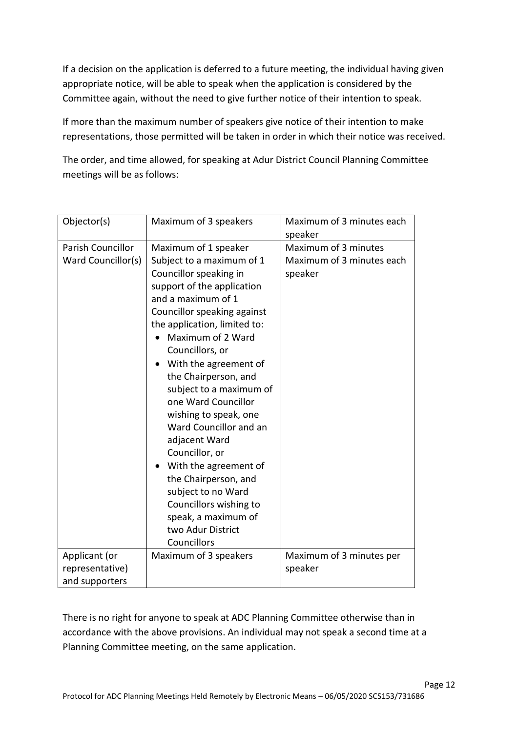If a decision on the application is deferred to a future meeting, the individual having given appropriate notice, will be able to speak when the application is considered by the Committee again, without the need to give further notice of their intention to speak.

 If more than the maximum number of speakers give notice of their intention to make representations, those permitted will be taken in order in which their notice was received.

 The order, and time allowed, for speaking at Adur District Council Planning Committee meetings will be as follows:

| Objector(s)        | Maximum of 3 speakers                                                                                                                                                                                                                                                                                                                                                                                                                                                                                                                                               | Maximum of 3 minutes each<br>speaker |
|--------------------|---------------------------------------------------------------------------------------------------------------------------------------------------------------------------------------------------------------------------------------------------------------------------------------------------------------------------------------------------------------------------------------------------------------------------------------------------------------------------------------------------------------------------------------------------------------------|--------------------------------------|
| Parish Councillor  | Maximum of 1 speaker                                                                                                                                                                                                                                                                                                                                                                                                                                                                                                                                                | Maximum of 3 minutes                 |
| Ward Councillor(s) | Subject to a maximum of 1<br>Councillor speaking in<br>support of the application<br>and a maximum of 1<br>Councillor speaking against<br>the application, limited to:<br>Maximum of 2 Ward<br>Councillors, or<br>With the agreement of<br>the Chairperson, and<br>subject to a maximum of<br>one Ward Councillor<br>wishing to speak, one<br>Ward Councillor and an<br>adjacent Ward<br>Councillor, or<br>With the agreement of<br>the Chairperson, and<br>subject to no Ward<br>Councillors wishing to<br>speak, a maximum of<br>two Adur District<br>Councillors | Maximum of 3 minutes each<br>speaker |
| Applicant (or      | Maximum of 3 speakers                                                                                                                                                                                                                                                                                                                                                                                                                                                                                                                                               | Maximum of 3 minutes per             |
| representative)    |                                                                                                                                                                                                                                                                                                                                                                                                                                                                                                                                                                     | speaker                              |
| and supporters     |                                                                                                                                                                                                                                                                                                                                                                                                                                                                                                                                                                     |                                      |

 There is no right for anyone to speak at ADC Planning Committee otherwise than in accordance with the above provisions. An individual may not speak a second time at a Planning Committee meeting, on the same application.